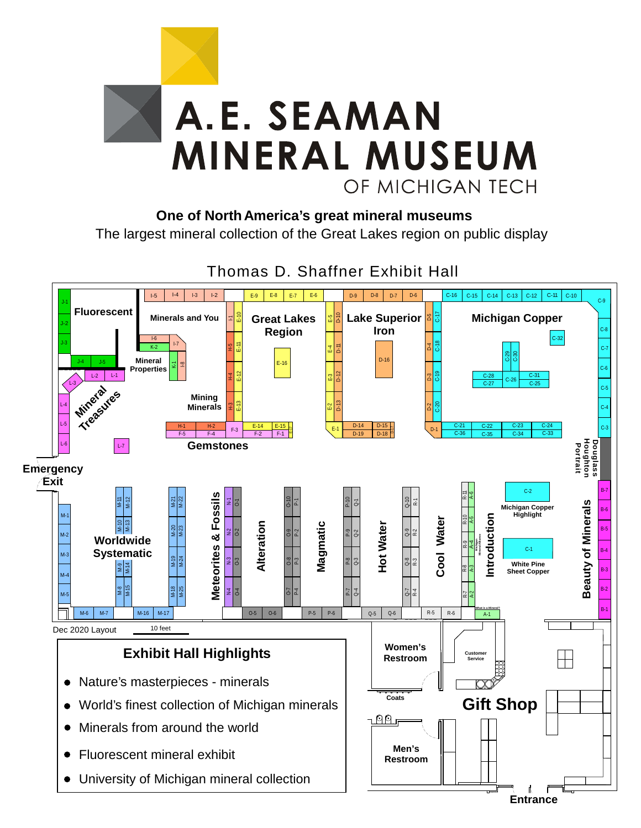

**One of North America's great mineral museums**

The largest mineral collection of the Great Lakes region on public display



Thomas D. Shaffner Exhibit Hall